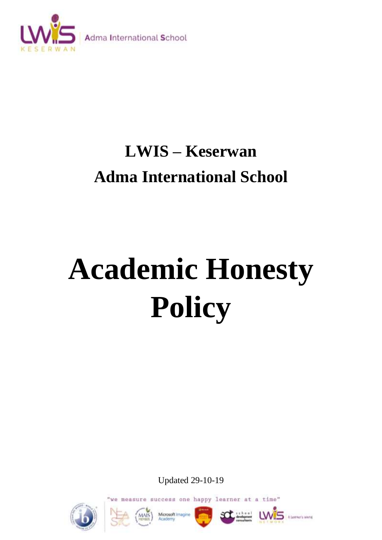

# **LWIS – Keserwan Adma International School**

# **Academic Honesty Policy**

Updated 29-10-19

success one happy learner at a time" we measure











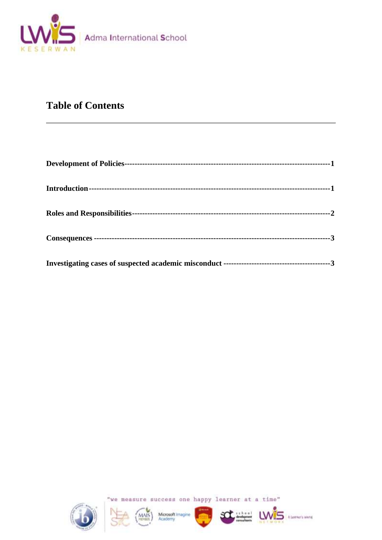

## **Table of Contents**



"we measure success one happy learner at a time"

Ü

A Learner's white

MAIS Microsoft Imagine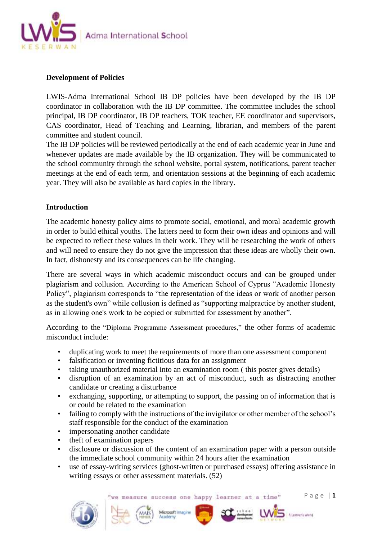

#### **Development of Policies**

LWIS-Adma International School IB DP policies have been developed by the IB DP coordinator in collaboration with the IB DP committee. The committee includes the school principal, IB DP coordinator, IB DP teachers, TOK teacher, EE coordinator and supervisors, CAS coordinator, Head of Teaching and Learning, librarian, and members of the parent committee and student council.

The IB DP policies will be reviewed periodically at the end of each academic year in June and whenever updates are made available by the IB organization. They will be communicated to the school community through the school website, portal system, notifications, parent teacher meetings at the end of each term, and orientation sessions at the beginning of each academic year. They will also be available as hard copies in the library.

#### **Introduction**

The academic honesty policy aims to promote social, emotional, and moral academic growth in order to build ethical youths. The latters need to form their own ideas and opinions and will be expected to reflect these values in their work. They will be researching the work of others and will need to ensure they do not give the impression that these ideas are wholly their own. In fact, dishonesty and its consequences can be life changing.

There are several ways in which academic misconduct occurs and can be grouped under plagiarism and collusion. According to the American School of Cyprus "Academic Honesty Policy", plagiarism corresponds to "the representation of the ideas or work of another person as the student's own" while collusion is defined as "supporting malpractice by another student, as in allowing one's work to be copied or submitted for assessment by another".

According to the "Diploma Programme Assessment procedures," the other forms of academic misconduct include:

- duplicating work to meet the requirements of more than one assessment component
- falsification or inventing fictitious data for an assignment
- taking unauthorized material into an examination room ( this poster gives details)
- disruption of an examination by an act of misconduct, such as distracting another candidate or creating a disturbance
- exchanging, supporting, or attempting to support, the passing on of information that is or could be related to the examination
- failing to comply with the instructions of the invigilator or other member of the school's staff responsible for the conduct of the examination
- impersonating another candidate
- theft of examination papers
- disclosure or discussion of the content of an examination paper with a person outside the immediate school community within 24 hours after the examination
- use of essay-writing services (ghost-written or purchased essays) offering assistance in writing essays or other assessment materials. (52)

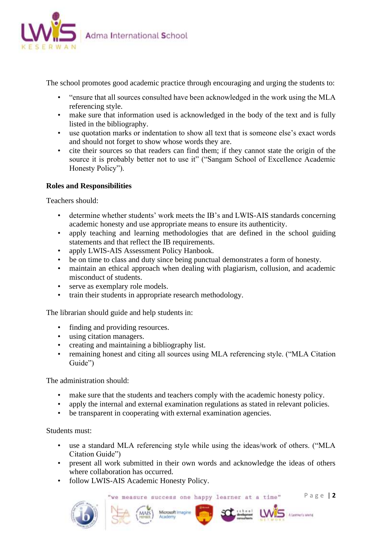

The school promotes good academic practice through encouraging and urging the students to:

- "ensure that all sources consulted have been acknowledged in the work using the MLA referencing style.
- make sure that information used is acknowledged in the body of the text and is fully listed in the bibliography.
- use quotation marks or indentation to show all text that is someone else's exact words and should not forget to show whose words they are.
- cite their sources so that readers can find them; if they cannot state the origin of the source it is probably better not to use it" ("Sangam School of Excellence Academic Honesty Policy").

#### **Roles and Responsibilities**

Teachers should:

- determine whether students' work meets the IB's and LWIS-AIS standards concerning academic honesty and use appropriate means to ensure its authenticity.
- apply teaching and learning methodologies that are defined in the school guiding statements and that reflect the IB requirements.
- apply LWIS-AIS Assessment Policy Hanbook.
- be on time to class and duty since being punctual demonstrates a form of honesty.
- maintain an ethical approach when dealing with plagiarism, collusion, and academic misconduct of students.
- serve as exemplary role models.
- train their students in appropriate research methodology.

The librarian should guide and help students in:

- finding and providing resources.
- using citation managers.
- creating and maintaining a bibliography list.
- remaining honest and citing all sources using MLA referencing style. ("MLA Citation" Guide")

The administration should:

- make sure that the students and teachers comply with the academic honesty policy.
- apply the internal and external examination regulations as stated in relevant policies.
- be transparent in cooperating with external examination agencies.

Students must:

- use a standard MLA referencing style while using the ideas/work of others. ("MLA Citation Guide")
- present all work submitted in their own words and acknowledge the ideas of others where collaboration has occurred.

Microsoft Imagine

• follow LWIS-AIS Academic Honesty Policy.

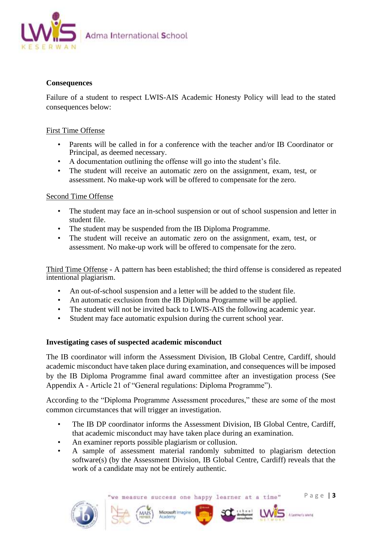

#### **Consequences**

Failure of a student to respect LWIS-AIS Academic Honesty Policy will lead to the stated consequences below:

#### First Time Offense

- Parents will be called in for a conference with the teacher and/or IB Coordinator or Principal, as deemed necessary.
- A documentation outlining the offense will go into the student's file.
- The student will receive an automatic zero on the assignment, exam, test, or assessment. No make-up work will be offered to compensate for the zero.

#### Second Time Offense

- The student may face an in-school suspension or out of school suspension and letter in student file.
- The student may be suspended from the IB Diploma Programme.
- The student will receive an automatic zero on the assignment, exam, test, or assessment. No make-up work will be offered to compensate for the zero.

Third Time Offense - A pattern has been established; the third offense is considered as repeated intentional plagiarism.

- An out-of-school suspension and a letter will be added to the student file.
- An automatic exclusion from the IB Diploma Programme will be applied.
- The student will not be invited back to LWIS-AIS the following academic year.
- Student may face automatic expulsion during the current school year.

#### **Investigating cases of suspected academic misconduct**

The IB coordinator will inform the Assessment Division, IB Global Centre, Cardiff, should academic misconduct have taken place during examination, and consequences will be imposed by the IB Diploma Programme final award committee after an investigation process (See Appendix A - Article 21 of "General regulations: Diploma Programme").

According to the "Diploma Programme Assessment procedures," these are some of the most common circumstances that will trigger an investigation.

- The IB DP coordinator informs the Assessment Division, IB Global Centre, Cardiff, that academic misconduct may have taken place during an examination.
- An examiner reports possible plagiarism or collusion.
- A sample of assessment material randomly submitted to plagiarism detection software(s) (by the Assessment Division, IB Global Centre, Cardiff) reveals that the work of a candidate may not be entirely authentic.

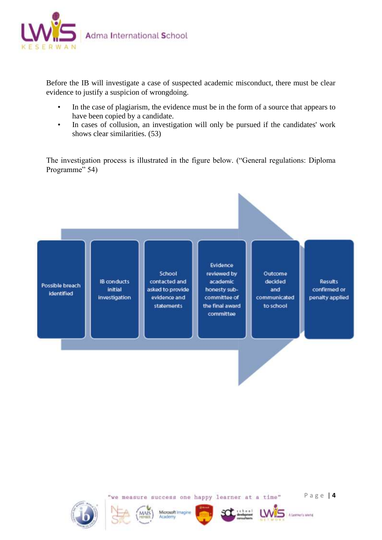

Before the IB will investigate a case of suspected academic misconduct, there must be clear evidence to justify a suspicion of wrongdoing.

- In the case of plagiarism, the evidence must be in the form of a source that appears to have been copied by a candidate.
- In cases of collusion, an investigation will only be pursued if the candidates' work shows clear similarities. (53)

The investigation process is illustrated in the figure below. ("General regulations: Diploma Programme" 54)







Microsoft Imagine Academy



we measure success one happy learner at a time"

P a g e | **4**

A Learner's white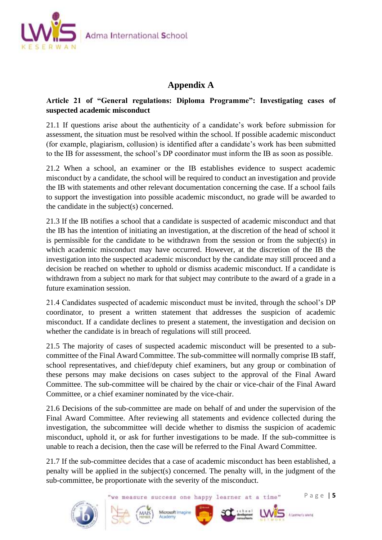

### **Appendix A**

#### **Article 21 of "General regulations: Diploma Programme": Investigating cases of suspected academic misconduct**

21.1 If questions arise about the authenticity of a candidate's work before submission for assessment, the situation must be resolved within the school. If possible academic misconduct (for example, plagiarism, collusion) is identified after a candidate's work has been submitted to the IB for assessment, the school's DP coordinator must inform the IB as soon as possible.

21.2 When a school, an examiner or the IB establishes evidence to suspect academic misconduct by a candidate, the school will be required to conduct an investigation and provide the IB with statements and other relevant documentation concerning the case. If a school fails to support the investigation into possible academic misconduct, no grade will be awarded to the candidate in the subject(s) concerned.

21.3 If the IB notifies a school that a candidate is suspected of academic misconduct and that the IB has the intention of initiating an investigation, at the discretion of the head of school it is permissible for the candidate to be withdrawn from the session or from the subject(s) in which academic misconduct may have occurred. However, at the discretion of the IB the investigation into the suspected academic misconduct by the candidate may still proceed and a decision be reached on whether to uphold or dismiss academic misconduct. If a candidate is withdrawn from a subject no mark for that subject may contribute to the award of a grade in a future examination session.

21.4 Candidates suspected of academic misconduct must be invited, through the school's DP coordinator, to present a written statement that addresses the suspicion of academic misconduct. If a candidate declines to present a statement, the investigation and decision on whether the candidate is in breach of regulations will still proceed.

21.5 The majority of cases of suspected academic misconduct will be presented to a subcommittee of the Final Award Committee. The sub-committee will normally comprise IB staff, school representatives, and chief/deputy chief examiners, but any group or combination of these persons may make decisions on cases subject to the approval of the Final Award Committee. The sub-committee will be chaired by the chair or vice-chair of the Final Award Committee, or a chief examiner nominated by the vice-chair.

21.6 Decisions of the sub-committee are made on behalf of and under the supervision of the Final Award Committee. After reviewing all statements and evidence collected during the investigation, the subcommittee will decide whether to dismiss the suspicion of academic misconduct, uphold it, or ask for further investigations to be made. If the sub-committee is unable to reach a decision, then the case will be referred to the Final Award Committee.

21.7 If the sub-committee decides that a case of academic misconduct has been established, a penalty will be applied in the subject(s) concerned. The penalty will, in the judgment of the sub-committee, be proportionate with the severity of the misconduct.

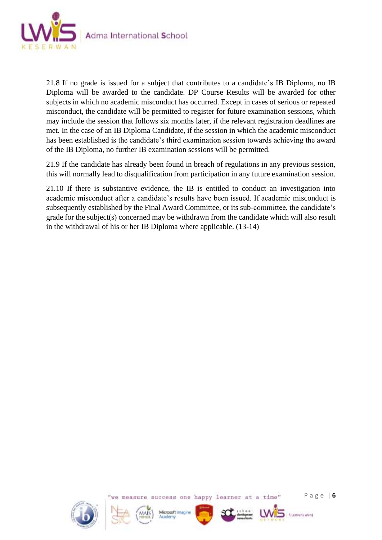

21.8 If no grade is issued for a subject that contributes to a candidate's IB Diploma, no IB Diploma will be awarded to the candidate. DP Course Results will be awarded for other subjects in which no academic misconduct has occurred. Except in cases of serious or repeated misconduct, the candidate will be permitted to register for future examination sessions, which may include the session that follows six months later, if the relevant registration deadlines are met. In the case of an IB Diploma Candidate, if the session in which the academic misconduct has been established is the candidate's third examination session towards achieving the award of the IB Diploma, no further IB examination sessions will be permitted.

21.9 If the candidate has already been found in breach of regulations in any previous session, this will normally lead to disqualification from participation in any future examination session.

21.10 If there is substantive evidence, the IB is entitled to conduct an investigation into academic misconduct after a candidate's results have been issued. If academic misconduct is subsequently established by the Final Award Committee, or its sub-committee, the candidate's grade for the subject(s) concerned may be withdrawn from the candidate which will also result in the withdrawal of his or her IB Diploma where applicable. (13-14)









measure success one happy learner at a time"